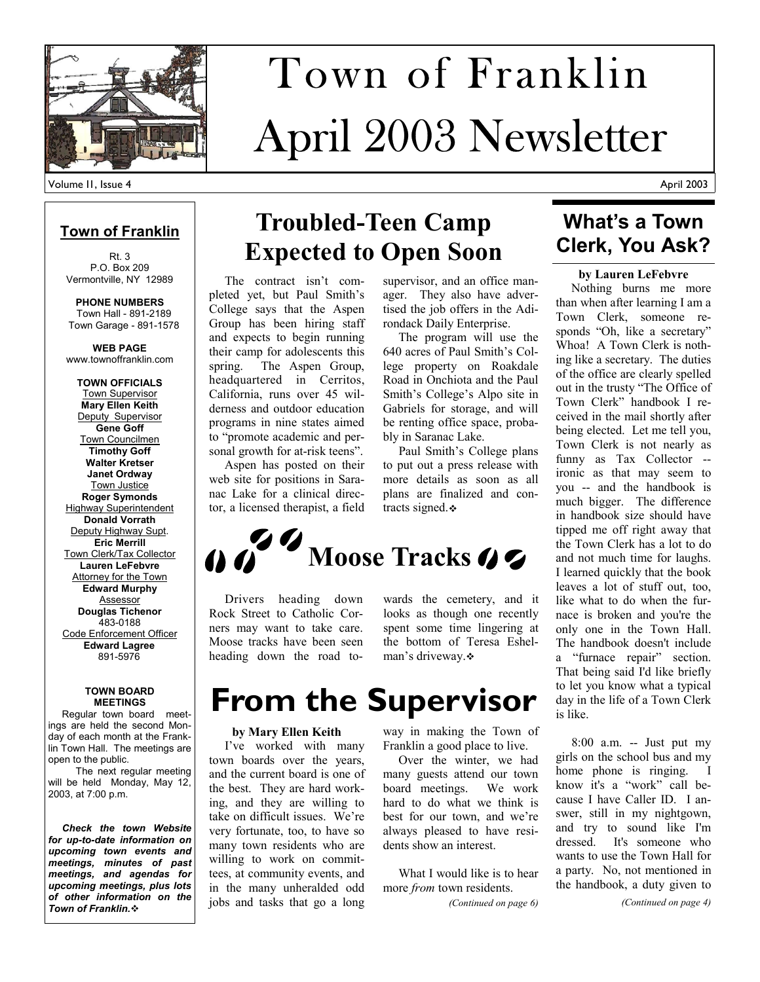

# April 2003 Newsletter Town of Franklin

**Town of Franklin**

Rt. 3 P.O. Box 209 Vermontville, NY 12989

**PHONE NUMBERS**  Town Hall - 891-2189 Town Garage - 891-1578

**WEB PAGE**  www.townoffranklin.com

**TOWN OFFICIALS**  Town Supervisor **Mary Ellen Keith**  Deputy Supervisor **Gene Goff**  Town Councilmen **Timothy Goff Walter Kretser Janet Ordway**  Town Justice **Roger Symonds**  Highway Superintendent **Donald Vorrath**  Deputy Highway Supt. **Eric Merrill**  Town Clerk/Tax Collector **Lauren LeFebvre**  Attorney for the Town **Edward Murphy**  Assessor **Douglas Tichenor**  483-0188 Code Enforcement Officer **Edward Lagree**  891-5976

#### **TOWN BOARD MEETINGS**

 Regular town board meetings are held the second Monday of each month at the Franklin Town Hall. The meetings are open to the public.

 The next regular meeting will be held Monday, May 12, 2003, at 7:00 p.m.

 *Check the town Website for up-to-date information on upcoming town events and meetings, minutes of past meetings, and agendas for upcoming meetings, plus lots of other information on the Town of Franklin.*

## **Troubled-Teen Camp Expected to Open Soon**

 The contract isn't completed yet, but Paul Smith's College says that the Aspen Group has been hiring staff and expects to begin running their camp for adolescents this spring. The Aspen Group, headquartered in Cerritos, California, runs over 45 wilderness and outdoor education programs in nine states aimed to "promote academic and personal growth for at-risk teens".

 Aspen has posted on their web site for positions in Saranac Lake for a clinical director, a licensed therapist, a field

supervisor, and an office manager. They also have advertised the job offers in the Adirondack Daily Enterprise.

 The program will use the 640 acres of Paul Smith's College property on Roakdale Road in Onchiota and the Paul Smith's College's Alpo site in Gabriels for storage, and will be renting office space, probably in Saranac Lake.

 Paul Smith's College plans to put out a press release with more details as soon as all plans are finalized and contracts signed.  $\cdot$ 

# **Moose Tracks**

 Drivers heading down Rock Street to Catholic Corners may want to take care. Moose tracks have been seen heading down the road towards the cemetery, and it looks as though one recently spent some time lingering at the bottom of Teresa Eshelman's driveway.

# **From the Supervisor**

### **by Mary Ellen Keith**

 I've worked with many town boards over the years, and the current board is one of the best. They are hard working, and they are willing to take on difficult issues. We're very fortunate, too, to have so many town residents who are willing to work on committees, at community events, and in the many unheralded odd jobs and tasks that go a long way in making the Town of Franklin a good place to live.

 Over the winter, we had many guests attend our town board meetings. We work hard to do what we think is best for our town, and we're always pleased to have residents show an interest.

 What I would like is to hear more *from* town residents.

*(Continued on page 6)* 

### **What's a Town Clerk, You Ask?**

**by Lauren LeFebvre** 

 Nothing burns me more than when after learning I am a Town Clerk, someone responds "Oh, like a secretary" Whoa! A Town Clerk is nothing like a secretary. The duties of the office are clearly spelled out in the trusty "The Office of Town Clerk" handbook I received in the mail shortly after being elected. Let me tell you, Town Clerk is not nearly as funny as Tax Collector - ironic as that may seem to you -- and the handbook is much bigger. The difference in handbook size should have tipped me off right away that the Town Clerk has a lot to do and not much time for laughs. I learned quickly that the book leaves a lot of stuff out, too, like what to do when the furnace is broken and you're the only one in the Town Hall. The handbook doesn't include a "furnace repair" section. That being said I'd like briefly to let you know what a typical day in the life of a Town Clerk is like.

 8:00 a.m. -- Just put my girls on the school bus and my home phone is ringing. I know it's a "work" call because I have Caller ID. I answer, still in my nightgown, and try to sound like I'm dressed. It's someone who wants to use the Town Hall for a party. No, not mentioned in the handbook, a duty given to

*(Continued on page 4)*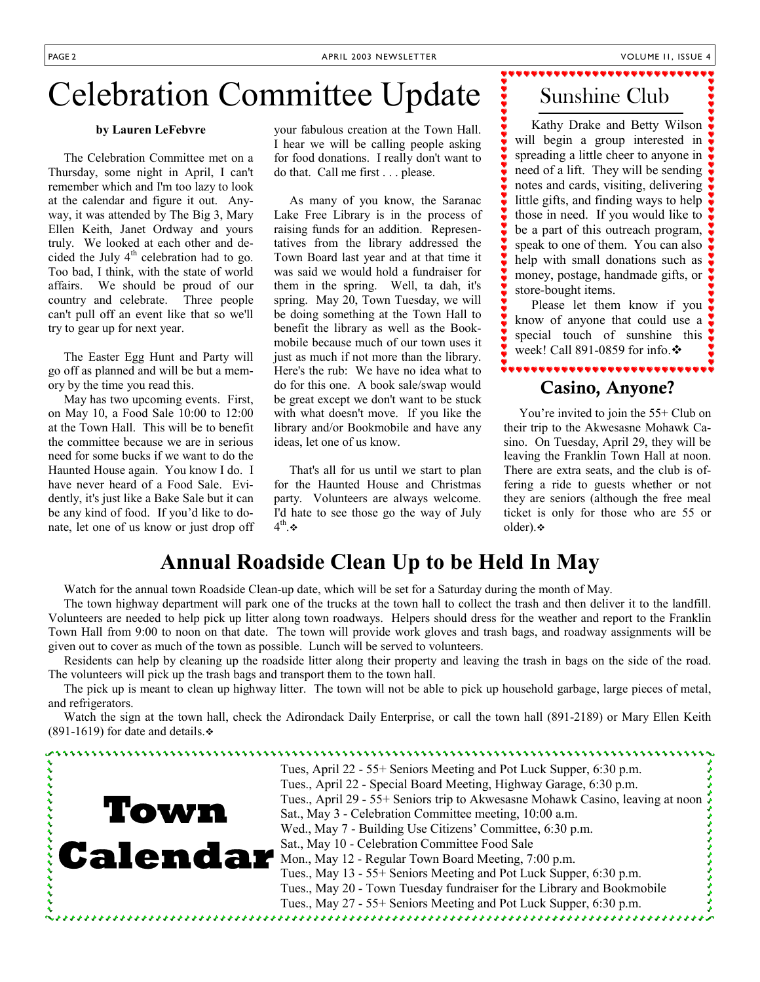## Celebration Committee Update

### **by Lauren LeFebvre**

 The Celebration Committee met on a Thursday, some night in April, I can't remember which and I'm too lazy to look at the calendar and figure it out. Anyway, it was attended by The Big 3, Mary Ellen Keith, Janet Ordway and yours truly. We looked at each other and decided the July  $4<sup>th</sup>$  celebration had to go. Too bad, I think, with the state of world affairs. We should be proud of our country and celebrate. Three people can't pull off an event like that so we'll try to gear up for next year.

 The Easter Egg Hunt and Party will go off as planned and will be but a memory by the time you read this.

 May has two upcoming events. First, on May 10, a Food Sale 10:00 to 12:00 at the Town Hall. This will be to benefit the committee because we are in serious need for some bucks if we want to do the Haunted House again. You know I do. I have never heard of a Food Sale. Evidently, it's just like a Bake Sale but it can be any kind of food. If you'd like to donate, let one of us know or just drop off your fabulous creation at the Town Hall. I hear we will be calling people asking for food donations. I really don't want to do that. Call me first . . . please.

 As many of you know, the Saranac Lake Free Library is in the process of raising funds for an addition. Representatives from the library addressed the Town Board last year and at that time it was said we would hold a fundraiser for them in the spring. Well, ta dah, it's spring. May 20, Town Tuesday, we will be doing something at the Town Hall to benefit the library as well as the Bookmobile because much of our town uses it just as much if not more than the library. Here's the rub: We have no idea what to do for this one. A book sale/swap would be great except we don't want to be stuck with what doesn't move. If you like the library and/or Bookmobile and have any ideas, let one of us know.

 That's all for us until we start to plan for the Haunted House and Christmas party. Volunteers are always welcome. I'd hate to see those go the way of July  $4^{\text{th}}$ .  $\bullet$ 

### Sunshine Club

,,,,,,,,,,,,,,,,,,,,

 Kathy Drake and Betty Wilson will begin a group interested in spreading a little cheer to anyone in need of a lift. They will be sending notes and cards, visiting, delivering little gifts, and finding ways to help those in need. If you would like to be a part of this outreach program, speak to one of them. You can also help with small donations such as money, postage, handmade gifts, or store-bought items.

 Please let them know if you know of anyone that could use a special touch of sunshine this week! Call 891-0859 for info. $\div$ 

### Casino, Anyone?

 You're invited to join the 55+ Club on their trip to the Akwesasne Mohawk Casino. On Tuesday, April 29, they will be leaving the Franklin Town Hall at noon. There are extra seats, and the club is offering a ride to guests whether or not they are seniors (although the free meal ticket is only for those who are 55 or older). $\cdot$ 

### **Annual Roadside Clean Up to be Held In May**

Watch for the annual town Roadside Clean-up date, which will be set for a Saturday during the month of May.

 The town highway department will park one of the trucks at the town hall to collect the trash and then deliver it to the landfill. Volunteers are needed to help pick up litter along town roadways. Helpers should dress for the weather and report to the Franklin Town Hall from 9:00 to noon on that date. The town will provide work gloves and trash bags, and roadway assignments will be given out to cover as much of the town as possible. Lunch will be served to volunteers.

 Residents can help by cleaning up the roadside litter along their property and leaving the trash in bags on the side of the road. The volunteers will pick up the trash bags and transport them to the town hall.

 The pick up is meant to clean up highway litter. The town will not be able to pick up household garbage, large pieces of metal, and refrigerators.

 Watch the sign at the town hall, check the Adirondack Daily Enterprise, or call the town hall (891-2189) or Mary Ellen Keith  $(891-1619)$  for date and details.

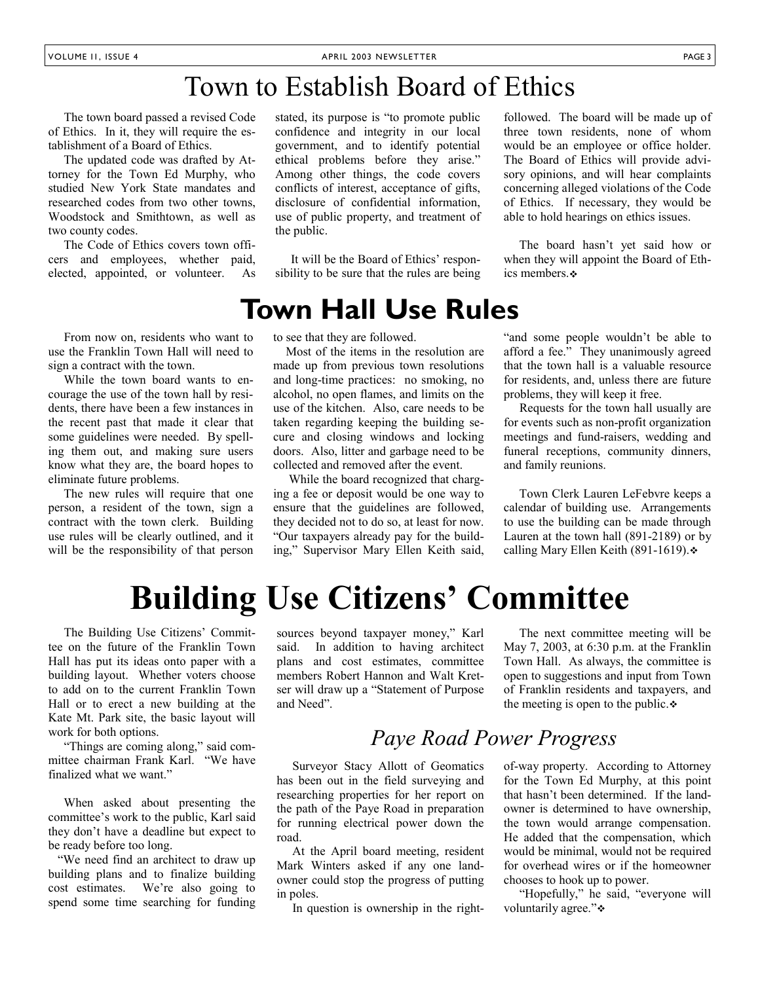## Town to Establish Board of Ethics

 The town board passed a revised Code of Ethics. In it, they will require the establishment of a Board of Ethics.

 The updated code was drafted by Attorney for the Town Ed Murphy, who studied New York State mandates and researched codes from two other towns, Woodstock and Smithtown, as well as two county codes.

 The Code of Ethics covers town officers and employees, whether paid, elected, appointed, or volunteer. As

 From now on, residents who want to use the Franklin Town Hall will need to sign a contract with the town.

 While the town board wants to encourage the use of the town hall by residents, there have been a few instances in the recent past that made it clear that some guidelines were needed. By spelling them out, and making sure users know what they are, the board hopes to eliminate future problems.

 The new rules will require that one person, a resident of the town, sign a contract with the town clerk. Building use rules will be clearly outlined, and it will be the responsibility of that person

stated, its purpose is "to promote public confidence and integrity in our local government, and to identify potential ethical problems before they arise." Among other things, the code covers conflicts of interest, acceptance of gifts, disclosure of confidential information, use of public property, and treatment of the public.

 It will be the Board of Ethics' responsibility to be sure that the rules are being

### **Town Hall Use Rules**

to see that they are followed.

 Most of the items in the resolution are made up from previous town resolutions and long-time practices: no smoking, no alcohol, no open flames, and limits on the use of the kitchen. Also, care needs to be taken regarding keeping the building secure and closing windows and locking doors. Also, litter and garbage need to be collected and removed after the event.

 While the board recognized that charging a fee or deposit would be one way to ensure that the guidelines are followed, they decided not to do so, at least for now. "Our taxpayers already pay for the building," Supervisor Mary Ellen Keith said, followed. The board will be made up of three town residents, none of whom would be an employee or office holder. The Board of Ethics will provide advisory opinions, and will hear complaints concerning alleged violations of the Code of Ethics. If necessary, they would be able to hold hearings on ethics issues.

 The board hasn't yet said how or when they will appoint the Board of Ethics members.

"and some people wouldn't be able to afford a fee." They unanimously agreed that the town hall is a valuable resource for residents, and, unless there are future problems, they will keep it free.

 Requests for the town hall usually are for events such as non-profit organization meetings and fund-raisers, wedding and funeral receptions, community dinners, and family reunions.

 Town Clerk Lauren LeFebvre keeps a calendar of building use. Arrangements to use the building can be made through Lauren at the town hall (891-2189) or by calling Mary Ellen Keith (891-1619). ↔

## **Building Use Citizens' Committee**

 The Building Use Citizens' Committee on the future of the Franklin Town Hall has put its ideas onto paper with a building layout. Whether voters choose to add on to the current Franklin Town Hall or to erect a new building at the Kate Mt. Park site, the basic layout will work for both options.

 "Things are coming along," said committee chairman Frank Karl. "We have finalized what we want."

 When asked about presenting the committee's work to the public, Karl said they don't have a deadline but expect to be ready before too long.

 "We need find an architect to draw up building plans and to finalize building cost estimates. We're also going to spend some time searching for funding sources beyond taxpayer money," Karl said. In addition to having architect plans and cost estimates, committee members Robert Hannon and Walt Kretser will draw up a "Statement of Purpose and Need".

 The next committee meeting will be May 7, 2003, at 6:30 p.m. at the Franklin Town Hall. As always, the committee is open to suggestions and input from Town of Franklin residents and taxpayers, and the meeting is open to the public. $\ddot{\bullet}$ 

### *Paye Road Power Progress*

 Surveyor Stacy Allott of Geomatics has been out in the field surveying and researching properties for her report on the path of the Paye Road in preparation for running electrical power down the road.

 At the April board meeting, resident Mark Winters asked if any one landowner could stop the progress of putting in poles.

In question is ownership in the right-

of-way property. According to Attorney for the Town Ed Murphy, at this point that hasn't been determined. If the landowner is determined to have ownership, the town would arrange compensation. He added that the compensation, which would be minimal, would not be required for overhead wires or if the homeowner chooses to hook up to power.

 "Hopefully," he said, "everyone will voluntarily agree."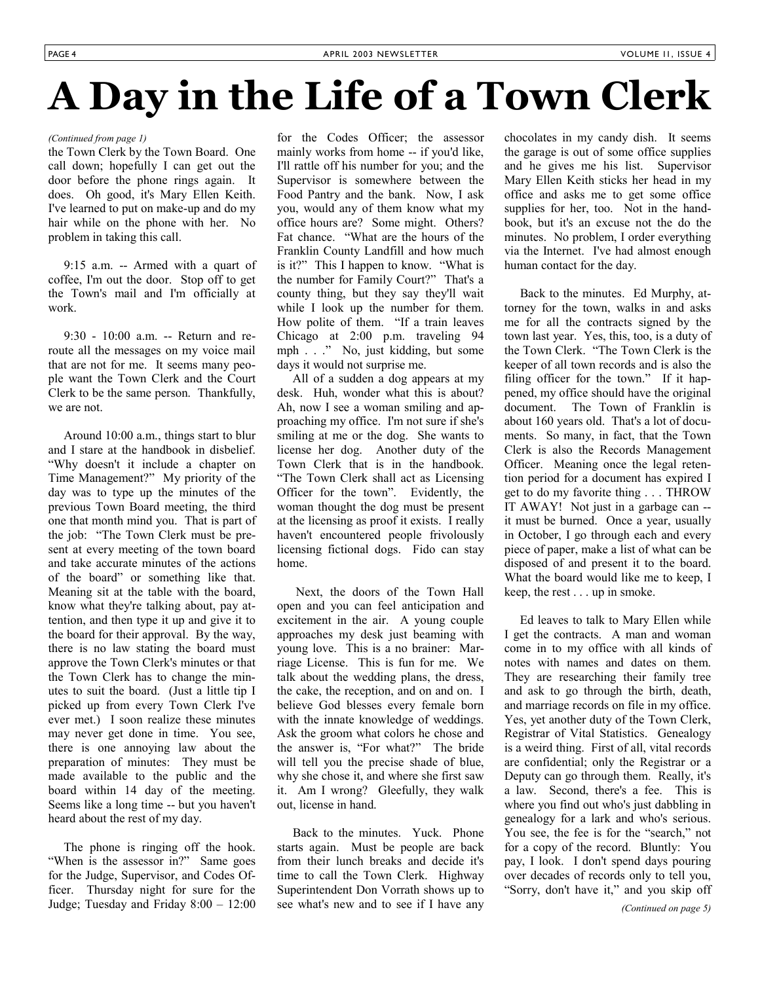# **A Day in the Life of a Town Clerk**

### *(Continued from page 1)*

the Town Clerk by the Town Board. One call down; hopefully I can get out the door before the phone rings again. It does. Oh good, it's Mary Ellen Keith. I've learned to put on make-up and do my hair while on the phone with her. No problem in taking this call.

 9:15 a.m. -- Armed with a quart of coffee, I'm out the door. Stop off to get the Town's mail and I'm officially at work.

 9:30 - 10:00 a.m. -- Return and reroute all the messages on my voice mail that are not for me. It seems many people want the Town Clerk and the Court Clerk to be the same person. Thankfully, we are not.

 Around 10:00 a.m., things start to blur and I stare at the handbook in disbelief. "Why doesn't it include a chapter on Time Management?" My priority of the day was to type up the minutes of the previous Town Board meeting, the third one that month mind you. That is part of the job: "The Town Clerk must be present at every meeting of the town board and take accurate minutes of the actions of the board" or something like that. Meaning sit at the table with the board, know what they're talking about, pay attention, and then type it up and give it to the board for their approval. By the way, there is no law stating the board must approve the Town Clerk's minutes or that the Town Clerk has to change the minutes to suit the board. (Just a little tip I picked up from every Town Clerk I've ever met.) I soon realize these minutes may never get done in time. You see, there is one annoying law about the preparation of minutes: They must be made available to the public and the board within 14 day of the meeting. Seems like a long time -- but you haven't heard about the rest of my day.

 The phone is ringing off the hook. "When is the assessor in?" Same goes for the Judge, Supervisor, and Codes Officer. Thursday night for sure for the Judge; Tuesday and Friday 8:00 – 12:00 for the Codes Officer; the assessor mainly works from home -- if you'd like, I'll rattle off his number for you; and the Supervisor is somewhere between the Food Pantry and the bank. Now, I ask you, would any of them know what my office hours are? Some might. Others? Fat chance. "What are the hours of the Franklin County Landfill and how much is it?" This I happen to know. "What is the number for Family Court?" That's a county thing, but they say they'll wait while I look up the number for them. How polite of them. "If a train leaves Chicago at 2:00 p.m. traveling 94 mph . . ." No, just kidding, but some days it would not surprise me.

 All of a sudden a dog appears at my desk. Huh, wonder what this is about? Ah, now I see a woman smiling and approaching my office. I'm not sure if she's smiling at me or the dog. She wants to license her dog. Another duty of the Town Clerk that is in the handbook. "The Town Clerk shall act as Licensing Officer for the town". Evidently, the woman thought the dog must be present at the licensing as proof it exists. I really haven't encountered people frivolously licensing fictional dogs. Fido can stay home.

 Next, the doors of the Town Hall open and you can feel anticipation and excitement in the air. A young couple approaches my desk just beaming with young love. This is a no brainer: Marriage License. This is fun for me. We talk about the wedding plans, the dress, the cake, the reception, and on and on. I believe God blesses every female born with the innate knowledge of weddings. Ask the groom what colors he chose and the answer is, "For what?" The bride will tell you the precise shade of blue, why she chose it, and where she first saw it. Am I wrong? Gleefully, they walk out, license in hand.

 Back to the minutes. Yuck. Phone starts again. Must be people are back from their lunch breaks and decide it's time to call the Town Clerk. Highway Superintendent Don Vorrath shows up to see what's new and to see if I have any chocolates in my candy dish. It seems the garage is out of some office supplies and he gives me his list. Supervisor Mary Ellen Keith sticks her head in my office and asks me to get some office supplies for her, too. Not in the handbook, but it's an excuse not the do the minutes. No problem, I order everything via the Internet. I've had almost enough human contact for the day.

 Back to the minutes. Ed Murphy, attorney for the town, walks in and asks me for all the contracts signed by the town last year. Yes, this, too, is a duty of the Town Clerk. "The Town Clerk is the keeper of all town records and is also the filing officer for the town." If it happened, my office should have the original document. The Town of Franklin is about 160 years old. That's a lot of documents. So many, in fact, that the Town Clerk is also the Records Management Officer. Meaning once the legal retention period for a document has expired I get to do my favorite thing . . . THROW IT AWAY! Not just in a garbage can - it must be burned. Once a year, usually in October, I go through each and every piece of paper, make a list of what can be disposed of and present it to the board. What the board would like me to keep, I keep, the rest . . . up in smoke.

 Ed leaves to talk to Mary Ellen while I get the contracts. A man and woman come in to my office with all kinds of notes with names and dates on them. They are researching their family tree and ask to go through the birth, death, and marriage records on file in my office. Yes, yet another duty of the Town Clerk, Registrar of Vital Statistics. Genealogy is a weird thing. First of all, vital records are confidential; only the Registrar or a Deputy can go through them. Really, it's a law. Second, there's a fee. This is where you find out who's just dabbling in genealogy for a lark and who's serious. You see, the fee is for the "search," not for a copy of the record. Bluntly: You pay, I look. I don't spend days pouring over decades of records only to tell you, "Sorry, don't have it," and you skip off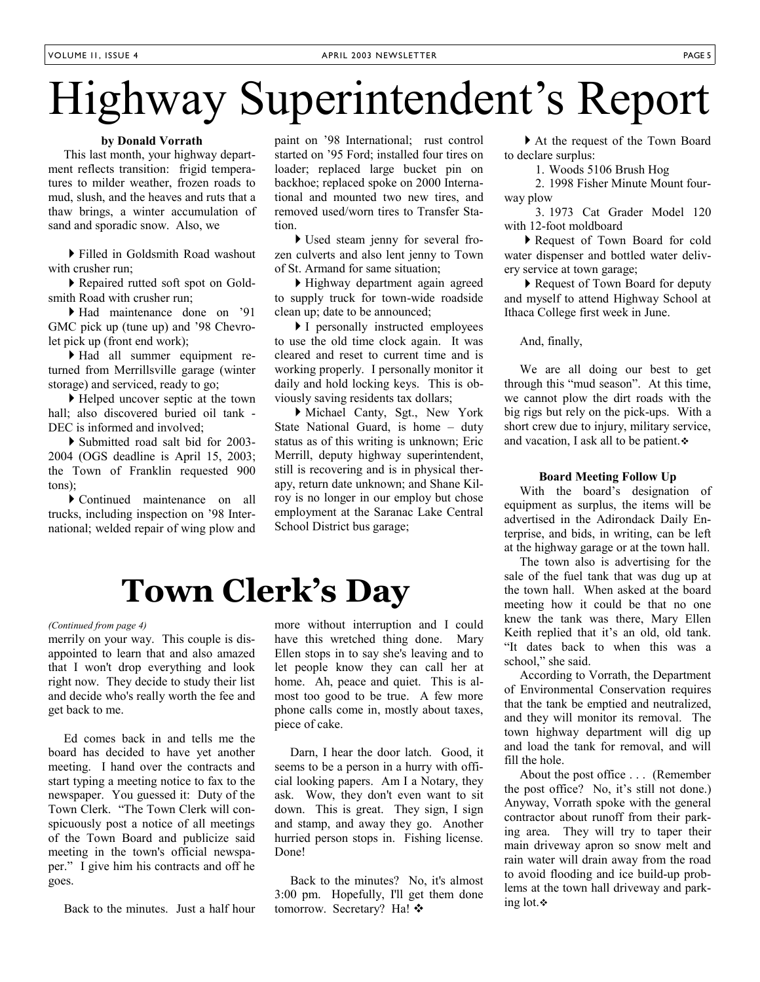# Highway Superintendent's Report

### **by Donald Vorrath**

 This last month, your highway department reflects transition: frigid temperatures to milder weather, frozen roads to mud, slush, and the heaves and ruts that a thaw brings, a winter accumulation of sand and sporadic snow. Also, we

 Filled in Goldsmith Road washout with crusher run;

 Repaired rutted soft spot on Goldsmith Road with crusher run;

 Had maintenance done on '91 GMC pick up (tune up) and '98 Chevrolet pick up (front end work);

 Had all summer equipment returned from Merrillsville garage (winter storage) and serviced, ready to go;

 Helped uncover septic at the town hall; also discovered buried oil tank - DEC is informed and involved:

 Submitted road salt bid for 2003- 2004 (OGS deadline is April 15, 2003; the Town of Franklin requested 900 tons);

 Continued maintenance on all trucks, including inspection on '98 International; welded repair of wing plow and paint on '98 International; rust control started on '95 Ford; installed four tires on loader; replaced large bucket pin on backhoe; replaced spoke on 2000 International and mounted two new tires, and removed used/worn tires to Transfer Station.

 Used steam jenny for several frozen culverts and also lent jenny to Town of St. Armand for same situation;

 Highway department again agreed to supply truck for town-wide roadside clean up; date to be announced;

I personally instructed employees to use the old time clock again. It was cleared and reset to current time and is working properly. I personally monitor it daily and hold locking keys. This is obviously saving residents tax dollars;

 Michael Canty, Sgt., New York State National Guard, is home – duty status as of this writing is unknown; Eric Merrill, deputy highway superintendent, still is recovering and is in physical therapy, return date unknown; and Shane Kilroy is no longer in our employ but chose employment at the Saranac Lake Central School District bus garage;

# **Town Clerk's Day**

### *(Continued from page 4)*

merrily on your way. This couple is disappointed to learn that and also amazed that I won't drop everything and look right now. They decide to study their list and decide who's really worth the fee and get back to me.

 Ed comes back in and tells me the board has decided to have yet another meeting. I hand over the contracts and start typing a meeting notice to fax to the newspaper. You guessed it: Duty of the Town Clerk. "The Town Clerk will conspicuously post a notice of all meetings of the Town Board and publicize said meeting in the town's official newspaper." I give him his contracts and off he goes.

Back to the minutes. Just a half hour

more without interruption and I could have this wretched thing done. Mary Ellen stops in to say she's leaving and to let people know they can call her at home. Ah, peace and quiet. This is almost too good to be true. A few more phone calls come in, mostly about taxes, piece of cake.

 Darn, I hear the door latch. Good, it seems to be a person in a hurry with official looking papers. Am I a Notary, they ask. Wow, they don't even want to sit down. This is great. They sign, I sign and stamp, and away they go. Another hurried person stops in. Fishing license. Done!

 Back to the minutes? No, it's almost 3:00 pm. Hopefully, I'll get them done tomorrow. Secretary? Ha! ❖

 At the request of the Town Board to declare surplus:

1. Woods 5106 Brush Hog

 2. 1998 Fisher Minute Mount fourway plow

 3. 1973 Cat Grader Model 120 with 12-foot moldboard

 Request of Town Board for cold water dispenser and bottled water delivery service at town garage;

▶ Request of Town Board for deputy and myself to attend Highway School at Ithaca College first week in June.

And, finally,

 We are all doing our best to get through this "mud season". At this time, we cannot plow the dirt roads with the big rigs but rely on the pick-ups. With a short crew due to injury, military service, and vacation, I ask all to be patient.

#### **Board Meeting Follow Up**

 With the board's designation of equipment as surplus, the items will be advertised in the Adirondack Daily Enterprise, and bids, in writing, can be left at the highway garage or at the town hall.

 The town also is advertising for the sale of the fuel tank that was dug up at the town hall. When asked at the board meeting how it could be that no one knew the tank was there, Mary Ellen Keith replied that it's an old, old tank. "It dates back to when this was a school," she said.

 According to Vorrath, the Department of Environmental Conservation requires that the tank be emptied and neutralized, and they will monitor its removal. The town highway department will dig up and load the tank for removal, and will fill the hole.

 About the post office . . . (Remember the post office? No, it's still not done.) Anyway, Vorrath spoke with the general contractor about runoff from their parking area. They will try to taper their main driveway apron so snow melt and rain water will drain away from the road to avoid flooding and ice build-up problems at the town hall driveway and parking lot.